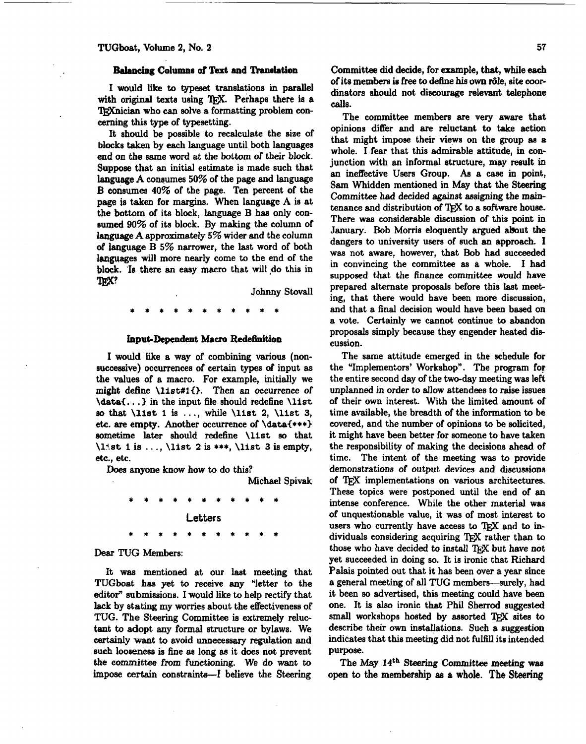## **Balancing** Column8 of **Text** and **flsnohtion**

**I would** like **to** typeset translations in parallel with original texts using TFX. Perhaps there is a TRXnician who can solve a formatting problem concerning this type of typesetting.

It should be possible to recalculate the size of blocks **taken** by each language until both languages end on the same word at the bottom of their block. Suppose that an initial estimate is made such that language **A** consumes 50% of the page and language B consumes 40% of the page. Ten percent of the page is taken for margins. When language A is at the bottom of its block, language B has only consumed 90% of its block. By making the column of language A approximately 5% wider and the column of Ianguage B 5% narrower, the last word of both languages will more nearly come to the end of the block. **'Is** there **an** easy macro that will ,do this in **uanguage**<br>block. Is<br>TEX?

Johnny **Stovall** 

## **Input-Dependent Macro Redehition**

I would **like** a way of combining various (nonsuccessive) occurrences of certain types of input as the values of a macro. For example, initially we might define **\list#iO.** Then **an** occurrence of \data€. . .) in the input file should redefine \list so that  $\list 1$  is ..., while  $\list 2$ ,  $\list 3$ , etc. are empty. Another occurrence of **\data{\*\*\*>**  sometime later should redefine \list **so** that \list 1 is . . . , \list 2 is \*\*\*, \list 3 **ie** empty, etc., etc.

**Does** anyone know how to do this?

Michael Spivak

**Letters** 

## **Dear** TUG Members:

It was mentioned at our last meeting that TUGboat **has** yet to receive any "letter to the editor" submissions. I would like to help rectify that lack by stating my worries about the effectiveness of TUG. **The Steering** Committee is extremely reluctant to adopt any formal structure or bylaws. We certainly want to avoid unnecessary regulation and such looseness is fine as long as it does not prevent the committee from functioning. We do want to impose certain constraints-I believe the Steering Committee did decide, for example, **that,** while each of its members **is** free to dehe **his own** &Ie, site -ordinators should not discourage relevant telephone **calls.** 

The committee members are very aware that opinions differ and are reluctant to take action that might **impose** their views on the group **as 8**  whole. I fear that this admirable attitude, in conjunction with an informal structure, may result in an ineffective Users Group. As a case in point, Sam Whidden mentioned in **May** that the **Steering**  Committee had decided against assigning the maintenance and distribution of TFX to a software house. There was considerable discussion of this point in January. Bob Morris eloquently argued about the dangers to university users of such an approach. I was not aware, however, that Bob had succeeded in convincing the committee as a whole. I had supposed that the finance committee would have prepared alternate proposals before this last meet ing, that there would have been more discussion, and that a final decision would have been based on a vote. Certainly we cannot continue to abandon proposals simply because they engender heated die cussion.

The same attitude emerged in the schedule for the "Implementors' Workshop". The program for the entire second day of the two-day meeting **was** left unplanned in order to allow attendees to raise issues of their own interest. With the limited amount of time available, the breadth of the information to be covered, and the number of opinions to be solicited, it might have been better for someone to have taken the responsibility of making the decisions ahead of time. The intent of the meeting was to provide demonstrations of output devices and discussions of TEX implementations on various architectures. These topics were postponed until the end of an intense conference. While the other material was of unquestionable value, it was of most interest to users who currently have access to TFX and to individuals considering acquiring TFX rather than to those who have decided to install TFX but have not yet succeeded in doing **so.** It is ironic that Richard Palais pointed out that it has been over a year since a general meeting of all TUG members—surely, had it been so advertised, this meeting could have been one. It is also ironic that Phil Sherrod suggested small workshops hosted by assorted TFX sites to describe their own installations. Such a suggestion indicates that this meeting did not fulfill its intended purpose.

The May **14~~ Steering** Committee **meeting waa**  open to the memberahip as a whole. **The** Steering